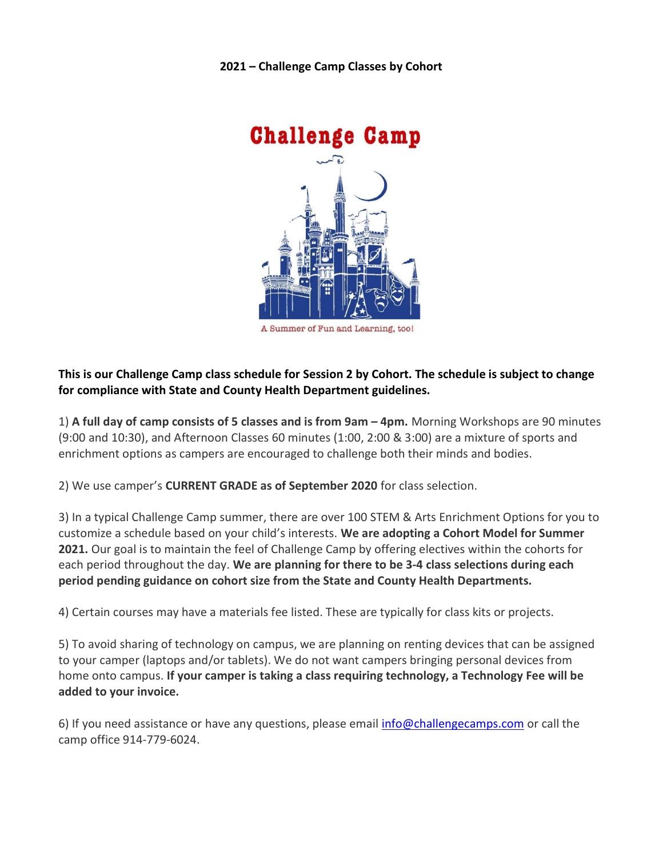2021 – Challenge Camp Classes by Cohort



## This is our Challenge Camp class schedule for Session 2 by Cohort. The schedule is subject to change for compliance with State and County Health Department guidelines.

1) A full day of camp consists of 5 classes and is from 9am – 4pm. Morning Workshops are 90 minutes (9:00 and 10:30), and Afternoon Classes 60 minutes (1:00, 2:00 & 3:00) are a mixture of sports and enrichment options as campers are encouraged to challenge both their minds and bodies.

2) We use camper's CURRENT GRADE as of September 2020 for class selection.

3) In a typical Challenge Camp summer, there are over 100 STEM & Arts Enrichment Options for you to customize a schedule based on your child's interests. We are adopting a Cohort Model for Summer 2021. Our goal is to maintain the feel of Challenge Camp by offering electives within the cohorts for each period throughout the day. We are planning for there to be 3-4 class selections during each period pending guidance on cohort size from the State and County Health Departments.

4) Certain courses may have a materials fee listed. These are typically for class kits or projects.

5) To avoid sharing of technology on campus, we are planning on renting devices that can be assigned to your camper (laptops and/or tablets). We do not want campers bringing personal devices from home onto campus. If your camper is taking a class requiring technology, a Technology Fee will be added to your invoice.

6) If you need assistance or have any questions, please email info@challengecamps.com or call the camp office 914-779-6024.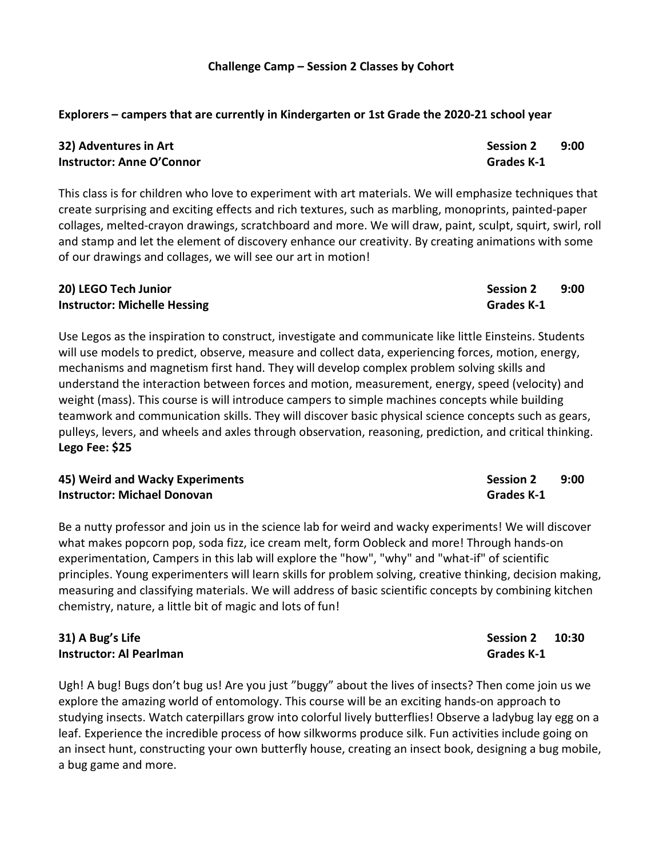# Explorers – campers that are currently in Kindergarten or 1st Grade the 2020-21 school year

| 32) Adventures in Art     | <b>Session 2</b> | 9:00 |
|---------------------------|------------------|------|
| Instructor: Anne O'Connor | Grades K-1       |      |

This class is for children who love to experiment with art materials. We will emphasize techniques that create surprising and exciting effects and rich textures, such as marbling, monoprints, painted-paper collages, melted-crayon drawings, scratchboard and more. We will draw, paint, sculpt, squirt, swirl, roll and stamp and let the element of discovery enhance our creativity. By creating animations with some of our drawings and collages, we will see our art in motion!

# 20) LEGO Tech Junior New York 1988 Session 2 8:00 Instructor: Michelle Hessing Grades K-1

Use Legos as the inspiration to construct, investigate and communicate like little Einsteins. Students will use models to predict, observe, measure and collect data, experiencing forces, motion, energy, mechanisms and magnetism first hand. They will develop complex problem solving skills and understand the interaction between forces and motion, measurement, energy, speed (velocity) and weight (mass). This course is will introduce campers to simple machines concepts while building teamwork and communication skills. They will discover basic physical science concepts such as gears, pulleys, levers, and wheels and axles through observation, reasoning, prediction, and critical thinking. Lego Fee: \$25

| 45) Weird and Wacky Experiments    | <b>Session 2</b>  | 9:00 |
|------------------------------------|-------------------|------|
| <b>Instructor: Michael Donovan</b> | <b>Grades K-1</b> |      |

Be a nutty professor and join us in the science lab for weird and wacky experiments! We will discover what makes popcorn pop, soda fizz, ice cream melt, form Oobleck and more! Through hands-on experimentation, Campers in this lab will explore the "how", "why" and "what-if" of scientific principles. Young experimenters will learn skills for problem solving, creative thinking, decision making, measuring and classifying materials. We will address of basic scientific concepts by combining kitchen chemistry, nature, a little bit of magic and lots of fun!

## 31) A Bug's Life Session 2 20:30 Instructor: Al Pearlman Grades K-1

Ugh! A bug! Bugs don't bug us! Are you just "buggy" about the lives of insects? Then come join us we explore the amazing world of entomology. This course will be an exciting hands-on approach to studying insects. Watch caterpillars grow into colorful lively butterflies! Observe a ladybug lay egg on a leaf. Experience the incredible process of how silkworms produce silk. Fun activities include going on an insect hunt, constructing your own butterfly house, creating an insect book, designing a bug mobile, a bug game and more.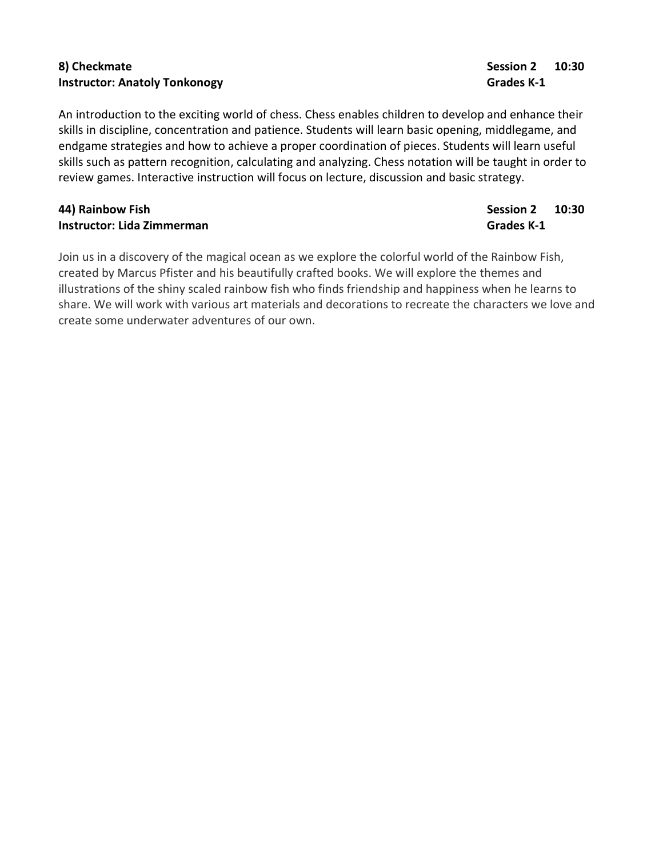# 8) Checkmate Session 2 10:30 Instructor: Anatoly Tonkonogy Grades K-1

An introduction to the exciting world of chess. Chess enables children to develop and enhance their skills in discipline, concentration and patience. Students will learn basic opening, middlegame, and endgame strategies and how to achieve a proper coordination of pieces. Students will learn useful skills such as pattern recognition, calculating and analyzing. Chess notation will be taught in order to review games. Interactive instruction will focus on lecture, discussion and basic strategy.

# Australia Christian Christian Christian Christian Christian Christian Christian Christian Christian Christian Christian Christian Christian Christian Christian Christian Christian Christian Christian Christian Christian Ch **Instructor: Lida Zimmerman** Grades K-1

Join us in a discovery of the magical ocean as we explore the colorful world of the Rainbow Fish, created by Marcus Pfister and his beautifully crafted books. We will explore the themes and illustrations of the shiny scaled rainbow fish who finds friendship and happiness when he learns to share. We will work with various art materials and decorations to recreate the characters we love and create some underwater adventures of our own.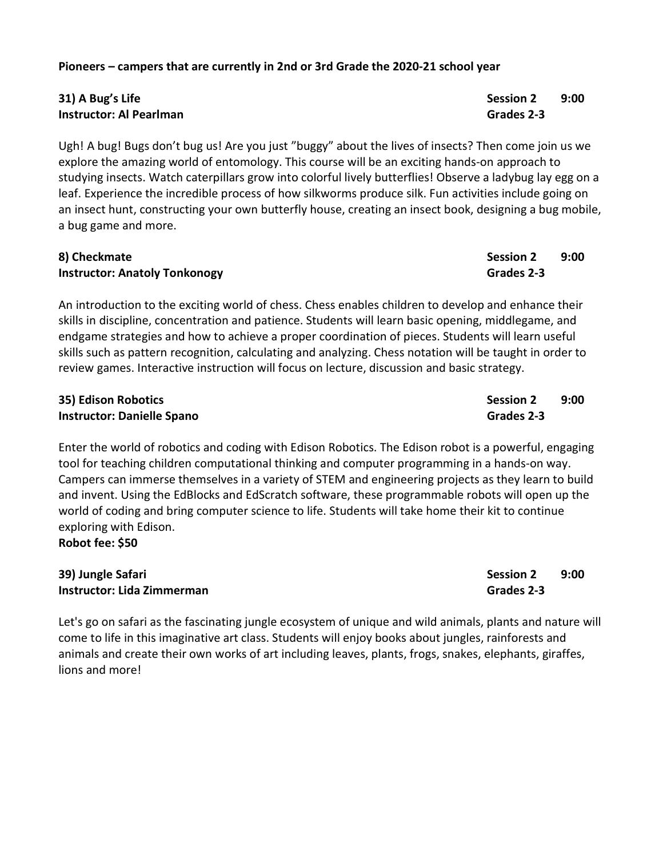### Pioneers – campers that are currently in 2nd or 3rd Grade the 2020-21 school year

# 31) A Bug's Life Session 2 9:00 Instructor: Al Pearlman Grades 2-3

Ugh! A bug! Bugs don't bug us! Are you just "buggy" about the lives of insects? Then come join us we explore the amazing world of entomology. This course will be an exciting hands-on approach to studying insects. Watch caterpillars grow into colorful lively butterflies! Observe a ladybug lay egg on a leaf. Experience the incredible process of how silkworms produce silk. Fun activities include going on an insect hunt, constructing your own butterfly house, creating an insect book, designing a bug mobile, a bug game and more.

| 8) Checkmate                         | <b>Session 2</b> | 9:00 |
|--------------------------------------|------------------|------|
| <b>Instructor: Anatoly Tonkonogy</b> | Grades 2-3       |      |

An introduction to the exciting world of chess. Chess enables children to develop and enhance their skills in discipline, concentration and patience. Students will learn basic opening, middlegame, and endgame strategies and how to achieve a proper coordination of pieces. Students will learn useful skills such as pattern recognition, calculating and analyzing. Chess notation will be taught in order to review games. Interactive instruction will focus on lecture, discussion and basic strategy.

| 35) Edison Robotics               | Session 2  | 9:00 |
|-----------------------------------|------------|------|
| <b>Instructor: Danielle Spano</b> | Grades 2-3 |      |

Enter the world of robotics and coding with Edison Robotics. The Edison robot is a powerful, engaging tool for teaching children computational thinking and computer programming in a hands-on way. Campers can immerse themselves in a variety of STEM and engineering projects as they learn to build and invent. Using the EdBlocks and EdScratch software, these programmable robots will open up the world of coding and bring computer science to life. Students will take home their kit to continue exploring with Edison. Robot fee: \$50

### 39) Jungle Safari Session 2 9:00 **Instructor: Lida Zimmerman** Grades 2-3

Let's go on safari as the fascinating jungle ecosystem of unique and wild animals, plants and nature will come to life in this imaginative art class. Students will enjoy books about jungles, rainforests and animals and create their own works of art including leaves, plants, frogs, snakes, elephants, giraffes, lions and more!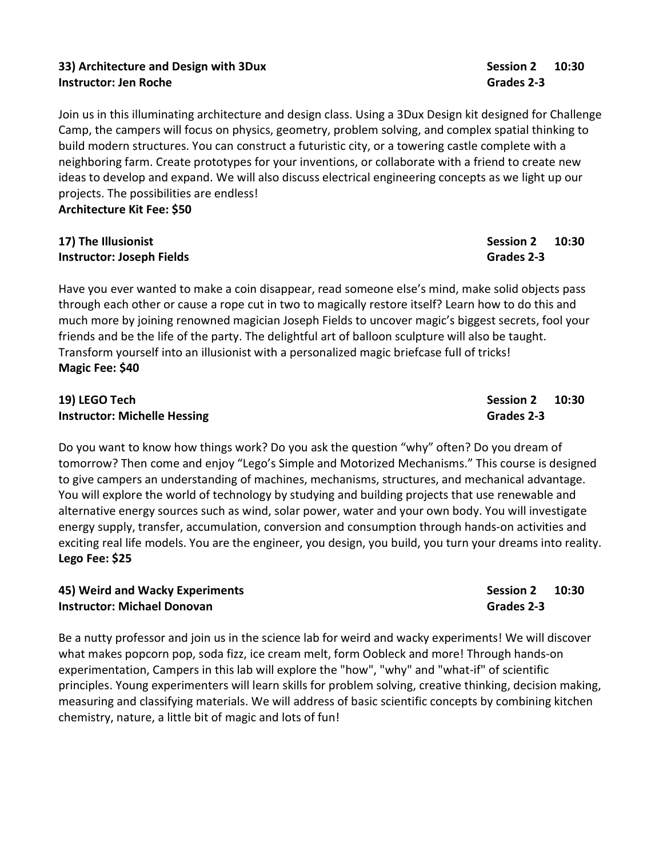## 33) Architecture and Design with 3Dux Session 2 10:30 **Instructor: Jen Roche** Grades 2-3

Join us in this illuminating architecture and design class. Using a 3Dux Design kit designed for Challenge Camp, the campers will focus on physics, geometry, problem solving, and complex spatial thinking to build modern structures. You can construct a futuristic city, or a towering castle complete with a neighboring farm. Create prototypes for your inventions, or collaborate with a friend to create new ideas to develop and expand. We will also discuss electrical engineering concepts as we light up our projects. The possibilities are endless!

Architecture Kit Fee: \$50

### 17) The Illusionist **Session 2** 10:30 **Instructor: Joseph Fields Grades 2-3**

Have you ever wanted to make a coin disappear, read someone else's mind, make solid objects pass through each other or cause a rope cut in two to magically restore itself? Learn how to do this and much more by joining renowned magician Joseph Fields to uncover magic's biggest secrets, fool your friends and be the life of the party. The delightful art of balloon sculpture will also be taught. Transform yourself into an illusionist with a personalized magic briefcase full of tricks! Magic Fee: \$40

### 19) LEGO Tech Session 2 20:30 Instructor: Michelle Hessing Grades 2-3

Do you want to know how things work? Do you ask the question "why" often? Do you dream of tomorrow? Then come and enjoy "Lego's Simple and Motorized Mechanisms." This course is designed to give campers an understanding of machines, mechanisms, structures, and mechanical advantage. You will explore the world of technology by studying and building projects that use renewable and alternative energy sources such as wind, solar power, water and your own body. You will investigate energy supply, transfer, accumulation, conversion and consumption through hands-on activities and exciting real life models. You are the engineer, you design, you build, you turn your dreams into reality. Lego Fee: \$25

## 45) Weird and Wacky Experiments **Session 2 10:30** Session 2 10:30 Instructor: Michael Donovan Grades 2-3

Be a nutty professor and join us in the science lab for weird and wacky experiments! We will discover what makes popcorn pop, soda fizz, ice cream melt, form Oobleck and more! Through hands-on experimentation, Campers in this lab will explore the "how", "why" and "what-if" of scientific principles. Young experimenters will learn skills for problem solving, creative thinking, decision making, measuring and classifying materials. We will address of basic scientific concepts by combining kitchen chemistry, nature, a little bit of magic and lots of fun!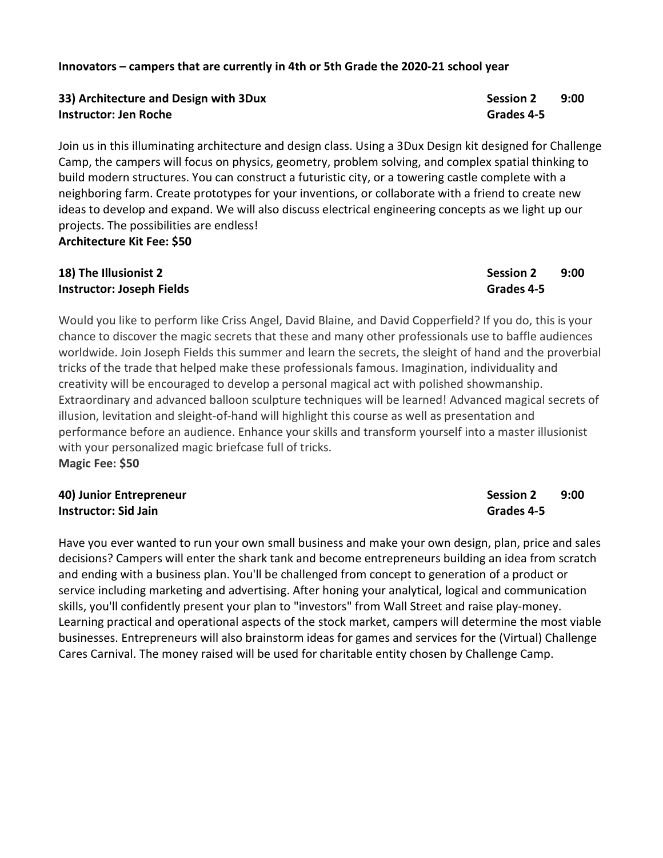### Innovators – campers that are currently in 4th or 5th Grade the 2020-21 school year

# 33) Architecture and Design with 3Dux Session 2 9:00 Instructor: Jen Roche Grades 4-5

Join us in this illuminating architecture and design class. Using a 3Dux Design kit designed for Challenge Camp, the campers will focus on physics, geometry, problem solving, and complex spatial thinking to build modern structures. You can construct a futuristic city, or a towering castle complete with a neighboring farm. Create prototypes for your inventions, or collaborate with a friend to create new ideas to develop and expand. We will also discuss electrical engineering concepts as we light up our projects. The possibilities are endless! Architecture Kit Fee: \$50

# 18) The Illusionist 2 Session 2 and 9:00 **Instructor: Joseph Fields Grades Activities** Grades 4-5

Would you like to perform like Criss Angel, David Blaine, and David Copperfield? If you do, this is your chance to discover the magic secrets that these and many other professionals use to baffle audiences worldwide. Join Joseph Fields this summer and learn the secrets, the sleight of hand and the proverbial tricks of the trade that helped make these professionals famous. Imagination, individuality and creativity will be encouraged to develop a personal magical act with polished showmanship. Extraordinary and advanced balloon sculpture techniques will be learned! Advanced magical secrets of illusion, levitation and sleight-of-hand will highlight this course as well as presentation and performance before an audience. Enhance your skills and transform yourself into a master illusionist with your personalized magic briefcase full of tricks. Magic Fee: \$50

### 40) Junior Entrepreneur Instructor: Sid Jain

Have you ever wanted to run your own small business and make your own design, plan, price and sales decisions? Campers will enter the shark tank and become entrepreneurs building an idea from scratch and ending with a business plan. You'll be challenged from concept to generation of a product or service including marketing and advertising. After honing your analytical, logical and communication skills, you'll confidently present your plan to "investors" from Wall Street and raise play-money. Learning practical and operational aspects of the stock market, campers will determine the most viable businesses. Entrepreneurs will also brainstorm ideas for games and services for the (Virtual) Challenge Cares Carnival. The money raised will be used for charitable entity chosen by Challenge Camp.

| <b>Session 2</b> | 9:00 |
|------------------|------|
| Grades 4-5       |      |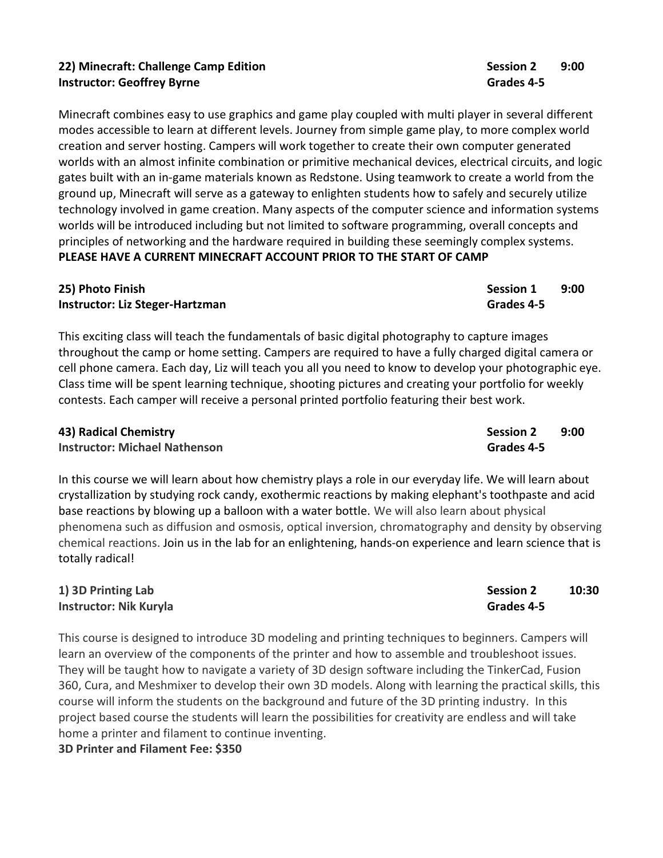# 22) Minecraft: Challenge Camp Edition **Session 2** 8:00 **Instructor: Geoffrey Byrne Grades 4-5** Campus Communication Communication Communication Communication Communicatio

Minecraft combines easy to use graphics and game play coupled with multi player in several different modes accessible to learn at different levels. Journey from simple game play, to more complex world creation and server hosting. Campers will work together to create their own computer generated worlds with an almost infinite combination or primitive mechanical devices, electrical circuits, and logic gates built with an in-game materials known as Redstone. Using teamwork to create a world from the ground up, Minecraft will serve as a gateway to enlighten students how to safely and securely utilize technology involved in game creation. Many aspects of the computer science and information systems worlds will be introduced including but not limited to software programming, overall concepts and principles of networking and the hardware required in building these seemingly complex systems. PLEASE HAVE A CURRENT MINECRAFT ACCOUNT PRIOR TO THE START OF CAMP

### 25) Photo Finish Session 1 and 200 and 200 and 200 and 200 and 200 and 200 and 200 and 200 and 200 and 200 and Instructor: Liz Steger-Hartzman Grades 4-5

This exciting class will teach the fundamentals of basic digital photography to capture images throughout the camp or home setting. Campers are required to have a fully charged digital camera or cell phone camera. Each day, Liz will teach you all you need to know to develop your photographic eye. Class time will be spent learning technique, shooting pictures and creating your portfolio for weekly contests. Each camper will receive a personal printed portfolio featuring their best work.

### Americal Chemistry Session 2 and 2000 Session 2 and 2000 Session 2 and 2000 Session 2 and 2000 Session 2 and 200

**Instructor: Michael Nathenson Grades 4-5** 

In this course we will learn about how chemistry plays a role in our everyday life. We will learn about crystallization by studying rock candy, exothermic reactions by making elephant's toothpaste and acid base reactions by blowing up a balloon with a water bottle. We will also learn about physical phenomena such as diffusion and osmosis, optical inversion, chromatography and density by observing chemical reactions. Join us in the lab for an enlightening, hands-on experience and learn science that is totally radical!

## 1) 3D Printing Lab Session 2 10:30 Instructor: Nik Kuryla Grades 4-5

This course is designed to introduce 3D modeling and printing techniques to beginners. Campers will learn an overview of the components of the printer and how to assemble and troubleshoot issues. They will be taught how to navigate a variety of 3D design software including the TinkerCad, Fusion 360, Cura, and Meshmixer to develop their own 3D models. Along with learning the practical skills, this course will inform the students on the background and future of the 3D printing industry. In this project based course the students will learn the possibilities for creativity are endless and will take home a printer and filament to continue inventing.

3D Printer and Filament Fee: \$350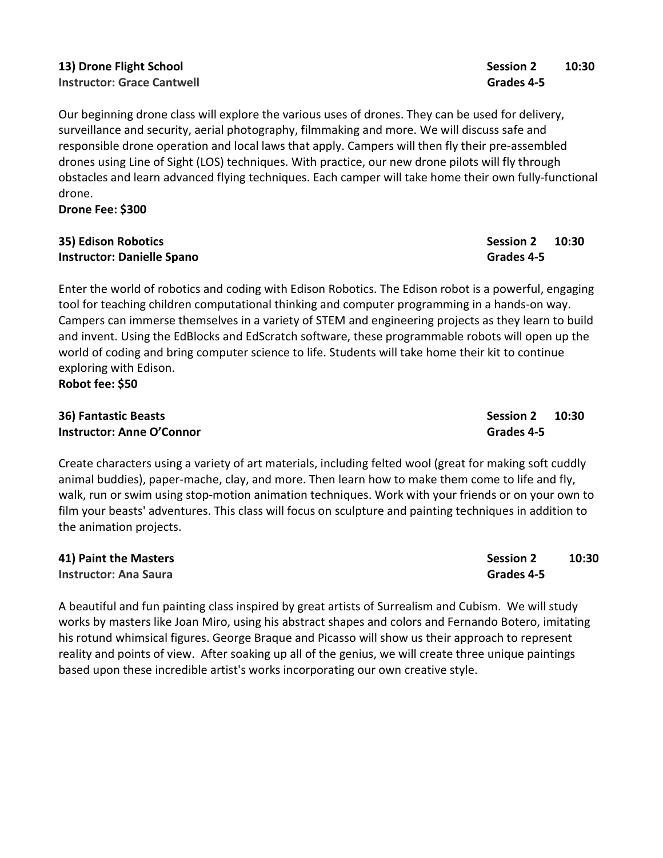## 13) Drone Flight School Session 2 20:30 Instructor: Grace Cantwell Grades 4-5

Our beginning drone class will explore the various uses of drones. They can be used for delivery, surveillance and security, aerial photography, filmmaking and more. We will discuss safe and responsible drone operation and local laws that apply. Campers will then fly their pre-assembled drones using Line of Sight (LOS) techniques. With practice, our new drone pilots will fly through obstacles and learn advanced flying techniques. Each camper will take home their own fully-functional drone.

Drone Fee: \$300

### 35) Edison Robotics Session 2 10:30 Instructor: Danielle Spano Grades 4-5

Enter the world of robotics and coding with Edison Robotics. The Edison robot is a powerful, engaging tool for teaching children computational thinking and computer programming in a hands-on way. Campers can immerse themselves in a variety of STEM and engineering projects as they learn to build and invent. Using the EdBlocks and EdScratch software, these programmable robots will open up the world of coding and bring computer science to life. Students will take home their kit to continue exploring with Edison.

Robot fee: \$50

# 36) Fantastic Beasts Session 2 10:30 **Instructor: Anne O'Connor** Grades 4-5

Create characters using a variety of art materials, including felted wool (great for making soft cuddly animal buddies), paper-mache, clay, and more. Then learn how to make them come to life and fly, walk, run or swim using stop-motion animation techniques. Work with your friends or on your own to film your beasts' adventures. This class will focus on sculpture and painting techniques in addition to the animation projects.

| 41) Paint the Masters | <b>Session 2</b> | 10:30 |
|-----------------------|------------------|-------|
| Instructor: Ana Saura | Grades 4-5       |       |

A beautiful and fun painting class inspired by great artists of Surrealism and Cubism. We will study works by masters like Joan Miro, using his abstract shapes and colors and Fernando Botero, imitating his rotund whimsical figures. George Braque and Picasso will show us their approach to represent reality and points of view. After soaking up all of the genius, we will create three unique paintings based upon these incredible artist's works incorporating our own creative style.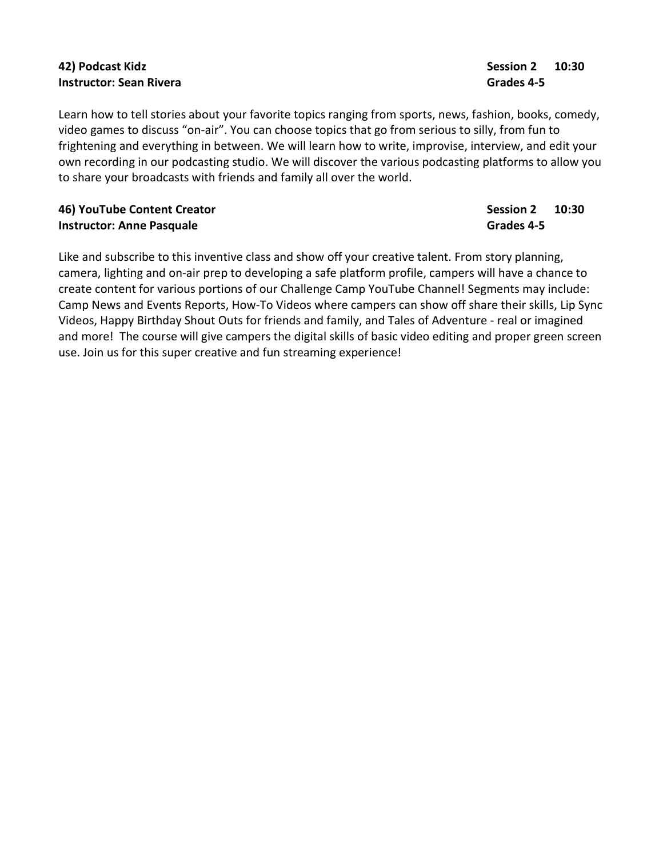# And Podcast Kidz Session 2 10:30 **Instructor: Sean Rivera** Grades 4-5

Learn how to tell stories about your favorite topics ranging from sports, news, fashion, books, comedy, video games to discuss "on-air". You can choose topics that go from serious to silly, from fun to frightening and everything in between. We will learn how to write, improvise, interview, and edit your own recording in our podcasting studio. We will discover the various podcasting platforms to allow you to share your broadcasts with friends and family all over the world.

### 46) YouTube Content Creator Session 2 20:30 Instructor: Anne Pasquale Grades 4-5

Like and subscribe to this inventive class and show off your creative talent. From story planning, camera, lighting and on-air prep to developing a safe platform profile, campers will have a chance to create content for various portions of our Challenge Camp YouTube Channel! Segments may include: Camp News and Events Reports, How-To Videos where campers can show off share their skills, Lip Sync Videos, Happy Birthday Shout Outs for friends and family, and Tales of Adventure - real or imagined and more! The course will give campers the digital skills of basic video editing and proper green screen use. Join us for this super creative and fun streaming experience!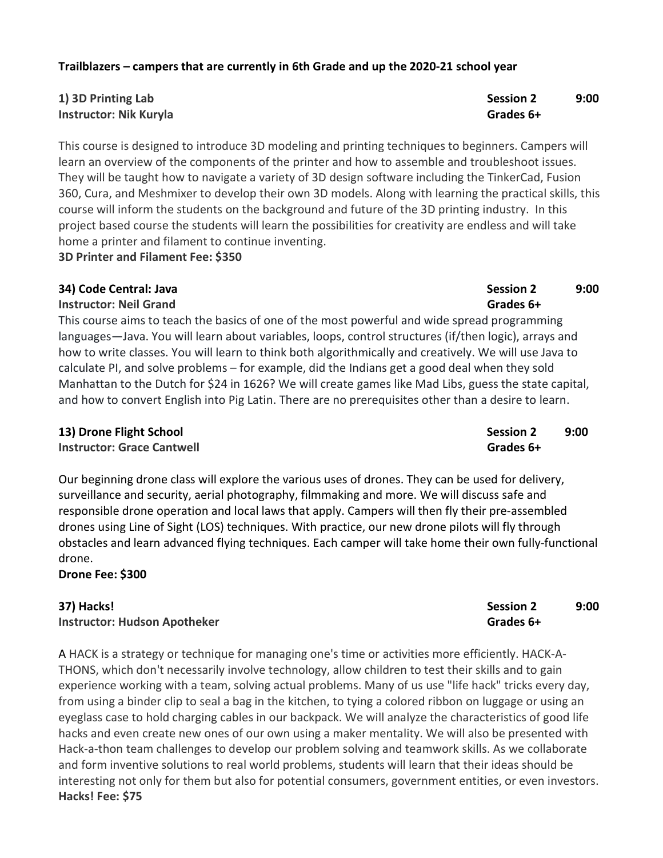### Trailblazers – campers that are currently in 6th Grade and up the 2020-21 school year

## 1) 3D Printing Lab 3D Printing Lab Instructor: Nik Kuryla Grades 6+

This course is designed to introduce 3D modeling and printing techniques to beginners. Campers will learn an overview of the components of the printer and how to assemble and troubleshoot issues. They will be taught how to navigate a variety of 3D design software including the TinkerCad, Fusion 360, Cura, and Meshmixer to develop their own 3D models. Along with learning the practical skills, this course will inform the students on the background and future of the 3D printing industry. In this project based course the students will learn the possibilities for creativity are endless and will take home a printer and filament to continue inventing.

3D Printer and Filament Fee: \$350

### 34) Code Central: Java Session 2 9:00

Instructor: Neil Grand Grand Grand Grand Grand Grand Grand Grand Grand Grand Grand Grand Grand Grand Grand Gra

This course aims to teach the basics of one of the most powerful and wide spread programming languages—Java. You will learn about variables, loops, control structures (if/then logic), arrays and how to write classes. You will learn to think both algorithmically and creatively. We will use Java to calculate PI, and solve problems – for example, did the Indians get a good deal when they sold Manhattan to the Dutch for \$24 in 1626? We will create games like Mad Libs, guess the state capital, and how to convert English into Pig Latin. There are no prerequisites other than a desire to learn.

### 13) Drone Flight School Session 2 9:00

Instructor: Grace Cantwell Grades 6+

Our beginning drone class will explore the various uses of drones. They can be used for delivery, surveillance and security, aerial photography, filmmaking and more. We will discuss safe and responsible drone operation and local laws that apply. Campers will then fly their pre-assembled drones using Line of Sight (LOS) techniques. With practice, our new drone pilots will fly through obstacles and learn advanced flying techniques. Each camper will take home their own fully-functional drone.

Drone Fee: \$300

# 37) Hacks! Session 2 9:00 Instructor: Hudson Apotheker Grades 6+

A HACK is a strategy or technique for managing one's time or activities more efficiently. HACK-A-THONS, which don't necessarily involve technology, allow children to test their skills and to gain experience working with a team, solving actual problems. Many of us use "life hack" tricks every day, from using a binder clip to seal a bag in the kitchen, to tying a colored ribbon on luggage or using an eyeglass case to hold charging cables in our backpack. We will analyze the characteristics of good life hacks and even create new ones of our own using a maker mentality. We will also be presented with Hack-a-thon team challenges to develop our problem solving and teamwork skills. As we collaborate and form inventive solutions to real world problems, students will learn that their ideas should be interesting not only for them but also for potential consumers, government entities, or even investors. Hacks! Fee: \$75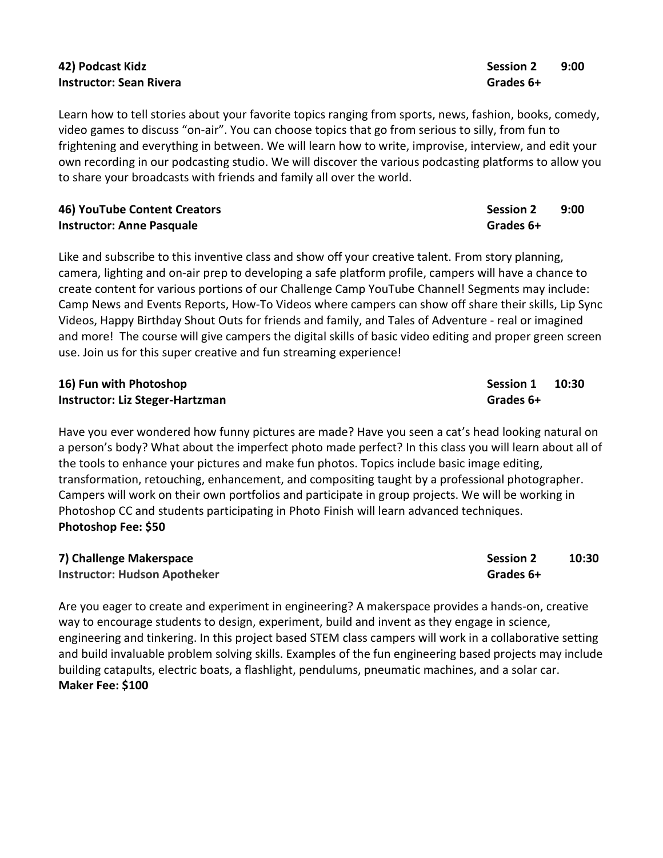## 42) Podcast Kidz Session 2 9:00 Instructor: Sean Rivera Grades 6+

Learn how to tell stories about your favorite topics ranging from sports, news, fashion, books, comedy, video games to discuss "on-air". You can choose topics that go from serious to silly, from fun to frightening and everything in between. We will learn how to write, improvise, interview, and edit your own recording in our podcasting studio. We will discover the various podcasting platforms to allow you to share your broadcasts with friends and family all over the world.

### 46) YouTube Content Creators National Session 2 and 9:00 Session 2 and 9:00 Session 2 and 9:00 Session 2 and 9:00 Session 2 and 9:00 Session 2 and 9:00 Session 2 and 9:00 Session 2 and 9:00 Session 3 and 9:00 Session 3 and Instructor: Anne Pasquale Grades 6+

Like and subscribe to this inventive class and show off your creative talent. From story planning, camera, lighting and on-air prep to developing a safe platform profile, campers will have a chance to create content for various portions of our Challenge Camp YouTube Channel! Segments may include: Camp News and Events Reports, How-To Videos where campers can show off share their skills, Lip Sync Videos, Happy Birthday Shout Outs for friends and family, and Tales of Adventure - real or imagined and more! The course will give campers the digital skills of basic video editing and proper green screen use. Join us for this super creative and fun streaming experience!

### 16) Fun with Photoshop Session 1 20:30 Instructor: Liz Steger-Hartzman Grades 6+

Have you ever wondered how funny pictures are made? Have you seen a cat's head looking natural on a person's body? What about the imperfect photo made perfect? In this class you will learn about all of the tools to enhance your pictures and make fun photos. Topics include basic image editing, transformation, retouching, enhancement, and compositing taught by a professional photographer. Campers will work on their own portfolios and participate in group projects. We will be working in Photoshop CC and students participating in Photo Finish will learn advanced techniques. Photoshop Fee: \$50

| 7) Challenge Makerspace             | <b>Session 2</b> | 10:30 |
|-------------------------------------|------------------|-------|
| <b>Instructor: Hudson Apotheker</b> | Grades 6+        |       |

Are you eager to create and experiment in engineering? A makerspace provides a hands-on, creative way to encourage students to design, experiment, build and invent as they engage in science, engineering and tinkering. In this project based STEM class campers will work in a collaborative setting and build invaluable problem solving skills. Examples of the fun engineering based projects may include building catapults, electric boats, a flashlight, pendulums, pneumatic machines, and a solar car. Maker Fee: \$100